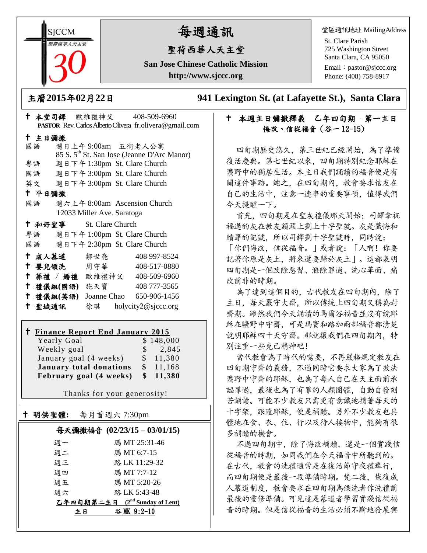**SICCM** 酒西華人天主堂

# 每週通訊

## 聖荷西華人天主堂

**San Jose Chinese Catholic Mission http://www.sjccc.org**

堂區通訊地址 MailingAddress

St. Clare Parish 725 Washington Street Santa Clara, CA 95050

Email: [pastor@sjccc.org](mailto:pastor@sjccc.org) Phone: (408) 758-8917

主曆**2015**年**02**月**22**日 **941 Lexington St. (at Lafayette St.), Santa Clara** 

## 十 本週主日彌撒釋義 乙年四旬期 第一主日 悔改、信從福音(谷一 12-15)

四旬期歷史悠久,第三世紀已經開始,為了準備 復活慶典。第七世紀以來,四旬期特別紀念耶穌在 曠野中的獨居生活。本主日我們誦讀的福音便是有 關這件事跡。總之,在四旬期內,教會要求信友在 自己的生活中,注意一連串的重要事項,值得我們 今天提醒一下。

首先,四旬期是在聖灰禮儀那天開始;司鐸拿祝 福過的灰在教友額頭上劃上十字聖號。灰是懺悔和 贖罪的記號,所以司鐸劃十字聖號時,同時說:

「你們悔改,信從福音。」或者說:「人啊!你要 記著你原是灰土,將來還要歸於灰土」。這都表明 四旬期是一個改除惡習、滌除罪過、洗心革面、痛 改前非的時期。

為了達到這個目的,古代教友在四旬期內,除了 主日,每天嚴守大齋,所以傳統上四旬期又稱為封 齋期。雖然我們今天誦讀的馬爾谷福音並沒有說耶 穌在曠野中守齋,可是瑪竇和路加兩部福音都清楚 說明耶穌四十天守齋。那就讓我們在四旬期內,特 別注重一些克己精神吧!

當代教會為了時代的需要,不再嚴格規定教友在 四旬期守齋的義務,不過同時它要求大家為了效法 曠野中守齋的耶穌,也為了每人自己在天主面前承 認罪過,最後也為了有罪的人類團體,自動自發刻 苦誦讀。可能不少教友只需更有意識地揹著每天的 十字架,跟隨耶穌,便是補贖。另外不少教友也具 體地在食、衣、住、行以及待人接物中,能夠有很 多補贖的機會。

不過四旬期中,除了悔改補贖,還是一個實踐信 從福音的時期,如同我們在今天福音中所聽到的。 在古代,教會的洗禮通常是在復活節守夜禮舉行, 而四旬期便是最後一段準備時期。梵二後,恢復成 人慕道制度,教會要求在四旬期為候洗者作洗禮前 最後的靈修準備。可見這是慕道者學習實踐信從福 音的時期。但是信從福音的生活必須不斷地發展與

| 十 主日彌撒 |                                    |     |                                                         |
|--------|------------------------------------|-----|---------------------------------------------------------|
| 國語     |                                    |     | 週日上午9:00am 五街老人公寓                                       |
|        |                                    |     | 85 S. 5 <sup>th</sup> St. San Jose (Jeanne D'Arc Manor) |
| 粤語     |                                    |     | 週日下午 1:30pm St. Clare Church                            |
| 國語     |                                    |     | 週日下午 3:00pm St. Clare Church                            |
|        |                                    |     | 英文 週日下午 3:00pm St. Clare Church                         |
| 十 平日彌撒 |                                    |     |                                                         |
| 國語     |                                    |     | 週六上午 8:00am Ascension Church                            |
|        |                                    |     | 12033 Miller Ave. Saratoga                              |
|        | <sup>†</sup> 和好聖事 St. Clare Church |     |                                                         |
|        |                                    |     | 粤語 週日下午 1:00pm St. Clare Church                         |
|        |                                    |     | 國語 週日下午 2:30pm St. Clare Church                         |
| + 成人慕道 |                                    | 鄒世亮 | 408 997-8524                                            |
|        | 十 嬰兒領洗 周守華                         |     | 408-517-0880                                            |
|        |                                    |     | † 葬禮 / 婚禮 歐維禮神父 408-509-6960                            |
|        | † 禮儀組(國語) 施天寶                      |     | 408 777-3565                                            |
|        | 十 禮儀組(英語)                          |     | Joanne Chao 650-906-1456                                |
| 十 聖城通訊 |                                    |     | 徐琪 holycity2@sjccc.org                                  |

本堂司鐸 歐維禮神父 408-509-6960

**PASTOR** Rev. Carlos Alberto Olivera fr. olivera@gmail.com

## **Finance Report End January 2015**

| Yearly Goal                    |   | \$148,000 |
|--------------------------------|---|-----------|
| Weekly goal                    | S | 2,845     |
| January goal (4 weeks)         |   | \$11,380  |
| <b>January total donations</b> |   | \$11,168  |
| February goal (4 weeks)        |   | \$11,380  |

Thanks for your generosity!

|  | 十 明供聖體: 每月首週六 7:30pm       |
|--|----------------------------|
|  | 每天彌撒福音 (02/23/15-03/01/15) |

|                                | PH 人源级作用 1 (02/23/13 - 03/01/13) |  |  |  |  |
|--------------------------------|----------------------------------|--|--|--|--|
| 週一                             | 瑪 MT 25:31-46                    |  |  |  |  |
| 週二                             | 瑪 MT 6:7-15                      |  |  |  |  |
| 週三                             | 路 LK 11:29-32                    |  |  |  |  |
| 週四                             | 瑪 MT 7:7-12                      |  |  |  |  |
| 週五                             | 瑪 MT 5:20-26                     |  |  |  |  |
| 週六                             | 路 LK 5:43-48                     |  |  |  |  |
| 乙年四旬期第二主日 (2nd Sunday of Lent) |                                  |  |  |  |  |
| 主日                             | 谷 MK 9:2-10                      |  |  |  |  |
|                                |                                  |  |  |  |  |